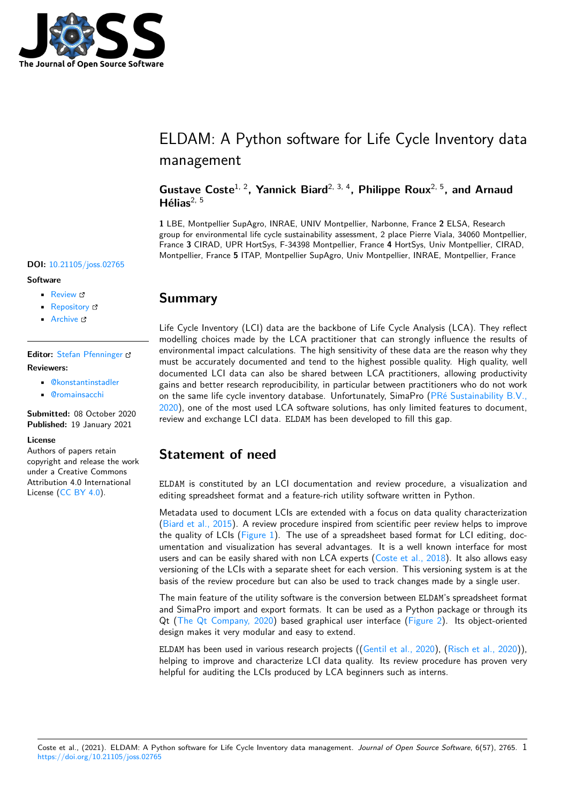

## ELDAM: A Python software for Life Cycle Inventory data management

**Gustave Coste**1, 2**, Yannick Biard**2, 3, 4**, Philippe Roux**2, 5**, and Arnaud Hélias**2, 5

**1** LBE, Montpellier SupAgro, INRAE, UNIV Montpellier, Narbonne, France **2** ELSA, Research group for environmental life cycle sustainability assessment, 2 place Pierre Viala, 34060 Montpellier, France **3** CIRAD, UPR HortSys, F-34398 Montpellier, France **4** HortSys, Univ Montpellier, CIRAD, Montpellier, France **5** ITAP, Montpellier SupAgro, Univ Montpellier, INRAE, Montpellier, France

### **DOI:** 10.21105/joss.02765

### **Software**

- Review C
- [Repository](https://doi.org/10.21105/joss.02765) &
- Archive

### **Editor:** [Stefan Pf](https://framagit.org/GustaveCoste/eldam)enninger **Revie[wers:](https://doi.org/10.15454/6EKXJQ)**

- @konstantinstadler
- @[romainsacchi](https://www.pfenninger.org/)

**Submitted:** 08 October 2020 **Published:** [19 January 20](https://github.com/konstantinstadler)21

#### **Licen[se](https://github.com/romainsacchi)**

Authors of papers retain copyright and release the work under a Creative Commons Attribution 4.0 International License (CC BY 4.0).

# **Summary**

Life Cycle Inventory (LCI) data are the backbone of Life Cycle Analysis (LCA). They reflect modelling choices made by the LCA practitioner that can strongly influence the results of environmental impact calculations. The high sensitivity of these data are the reason why they must be accurately documented and tend to the highest possible quality. High quality, well documented LCI data can also be shared between LCA practitioners, allowing productivity gains and better research reproducibility, in particular between practitioners who do not work on the same life cycle inventory database. Unfortunately, SimaPro (PRé Sustainability B.V., 2020), one of the most used LCA software solutions, has only limited features to document, review and exchange LCI data. ELDAM has been developed to fill this gap.

## **[Sta](#page-2-0)tement of need**

ELDAM is constituted by an LCI documentation and review procedure, a visualization and editing spreadsheet format and a feature-rich utility software written in Python.

Metadata used to document LCIs are extended with a focus on data quality characterization (Biard et al., 2015). A review procedure inspired from scientific peer review helps to improve the quality of LCIs (Figure 1). The use of a spreadsheet based format for LCI editing, documentation and visualization has several advantages. It is a well known interface for most users and can be easily shared with non LCA experts (Coste et al.,  $2018$ ). It also allows easy [versioning of the L](#page-2-1)CIs with a separate sheet for each version. This versioning system is at the basis of the review p[rocedure](#page-1-0) but can also be used to track changes made by a single user.

The main feature of the utility software is the conversion between ELDAM's spreadsheet format and SimaPro import and export formats. It can be us[ed as a Python pa](#page-2-2)ckage or through its Qt (The Qt Company, 2020) based graphical user interface (Figure 2). Its object-oriented design makes it very modular and easy to extend.

ELDAM has been used in various research projects ((Gentil et al., 2020), (Risch et al., 2020)), helping to improve and characterize LCI data quality. Its review procedure has proven very help[ful for auditing the LCIs](#page-3-0) produced by LCA beginners such [as intern](#page-2-3)s.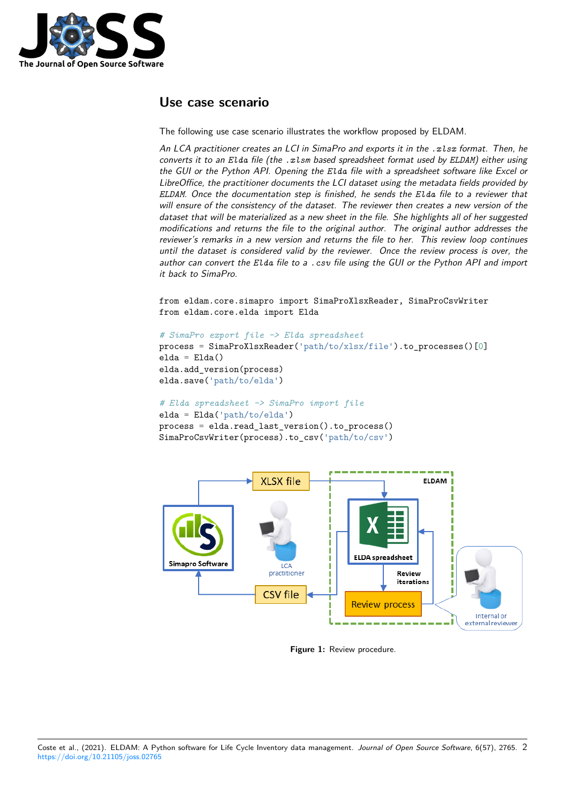

### **Use case scenario**

The following use case scenario illustrates the workflow proposed by ELDAM.

*An LCA practitioner creates an LCI in SimaPro and exports it in the .xlsx format. Then, he converts it to an Elda file (the .xlsm based spreadsheet format used by ELDAM) either using the GUI or the Python API. Opening the Elda file with a spreadsheet software like Excel or LibreOffice, the practitioner documents the LCI dataset using the metadata fields provided by ELDAM. Once the documentation step is finished, he sends the Elda file to a reviewer that will ensure of the consistency of the dataset. The reviewer then creates a new version of the dataset that will be materialized as a new sheet in the file. She highlights all of her suggested modifications and returns the file to the original author. The original author addresses the reviewer's remarks in a new version and returns the file to her. This review loop continues until the dataset is considered valid by the reviewer. Once the review process is over, the author can convert the Elda file to a .csv file using the GUI or the Python API and import it back to SimaPro.*

from eldam.core.simapro import SimaProXlsxReader, SimaProCsvWriter from eldam.core.elda import Elda

```
# SimaPro export file -> Elda spreadsheet
```

```
process = SimaProXlsxReader('path/to/xlsx/file').to_processes()[0]
elda = Elda()
elda.add_version(process)
elda.save('path/to/elda')
```

```
# Elda spreadsheet -> SimaPro import file
```

```
elda = Elda('path/to/elda')
```
process = elda.read\_last\_version().to\_process() SimaProCsvWriter(process).to\_csv('path/to/csv')

<span id="page-1-0"></span>

**Figure 1:** Review procedure.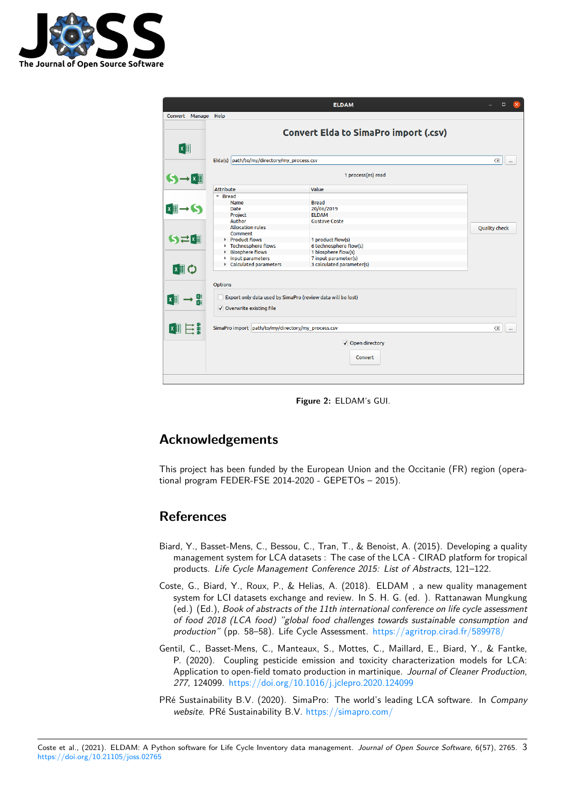

<span id="page-2-3"></span>

|                           |                                                             | <b>ELDAM</b>                                 | $\Box$               |
|---------------------------|-------------------------------------------------------------|----------------------------------------------|----------------------|
| Convert Manage Help       |                                                             |                                              |                      |
| $x \equiv$                |                                                             | <b>Convert Elda to SimaPro import (.csv)</b> |                      |
|                           | Elda(s) path/to/my/directory/my_process.csv                 |                                              | $\infty$<br>         |
| $S \rightarrow x \quad 1$ |                                                             | 1 process(es) read                           |                      |
|                           | <b>Attribute</b>                                            | Value                                        |                      |
|                           | $\overline{\phantom{a}}$ Bread                              |                                              |                      |
|                           | Name                                                        | <b>Bread</b>                                 |                      |
| →51                       | Date                                                        | 20/06/2019                                   |                      |
|                           | Project                                                     | <b>ELDAM</b>                                 |                      |
|                           | Author                                                      | <b>Gustave Coste</b>                         |                      |
|                           | <b>Allocation rules</b>                                     |                                              | <b>Quality check</b> |
| Sさ聞                       | Comment                                                     |                                              |                      |
|                           | Product flows                                               | 1 product flow(s)                            |                      |
|                           | Technosphere flows                                          | 6 technosphere flow(s)                       |                      |
|                           | <b>Biosphere flows</b><br>Þ.                                | 1 biosphere flow(s)                          |                      |
|                           | Input parameters                                            | 7 input parameter(s)                         |                      |
| <b>¤≣ 〇</b>               | Calculated parameters                                       | 3 calculated parameter(s)                    |                      |
|                           | <b>Options</b>                                              |                                              |                      |
|                           | Export only data used by SimaPro (review data will be lost) |                                              |                      |
|                           | V Overwrite existing file                                   |                                              |                      |
|                           |                                                             |                                              |                      |
| 和目                        | SimaPro import path/to/my/directory/my_process.csv          |                                              | $\infty$<br>         |
|                           |                                                             | √ Open directory                             |                      |
|                           |                                                             | Convert                                      |                      |
|                           |                                                             |                                              |                      |

**Figure 2:** ELDAM's GUI.

## **Acknowledgements**

This project has been funded by the European Union and the Occitanie (FR) region (operational program FEDER-FSE 2014-2020 - GEPETOs – 2015).

## **References**

- Biard, Y., Basset-Mens, C., Bessou, C., Tran, T., & Benoist, A. (2015). Developing a quality management system for LCA datasets : The case of the LCA - CIRAD platform for tropical products. *Life Cycle Management Conference 2015: List of Abstracts*, 121–122.
- <span id="page-2-1"></span>Coste, G., Biard, Y., Roux, P., & Helias, A. (2018). ELDAM , a new quality management system for LCI datasets exchange and review. In S. H. G. (ed. ). Rattanawan Mungkung (ed.) (Ed.), *Book of abstracts of the 11th international conference on life cycle assessment of food 2018 (LCA food) "global food challenges towards sustainable consumption and production"* (pp. 58–58). Life Cycle Assessment. https://agritrop.cirad.fr/589978/
- <span id="page-2-2"></span>Gentil, C., Basset-Mens, C., Manteaux, S., Mottes, C., Maillard, E., Biard, Y., & Fantke, P. (2020). Coupling pesticide emission and toxicity characterization models for LCA: Application to open-field tomato production in martinique. *[Journal of Cleaner Produ](https://agritrop.cirad.fr/589978/)ction*, *277*, 124099. https://doi.org/10.1016/j.jclepro.2020.124099
- <span id="page-2-0"></span>PRé Sustainability B.V. (2020). SimaPro: The world's leading LCA software. In *Company website*. PRé Sustainability B.V. https://simapro.com/